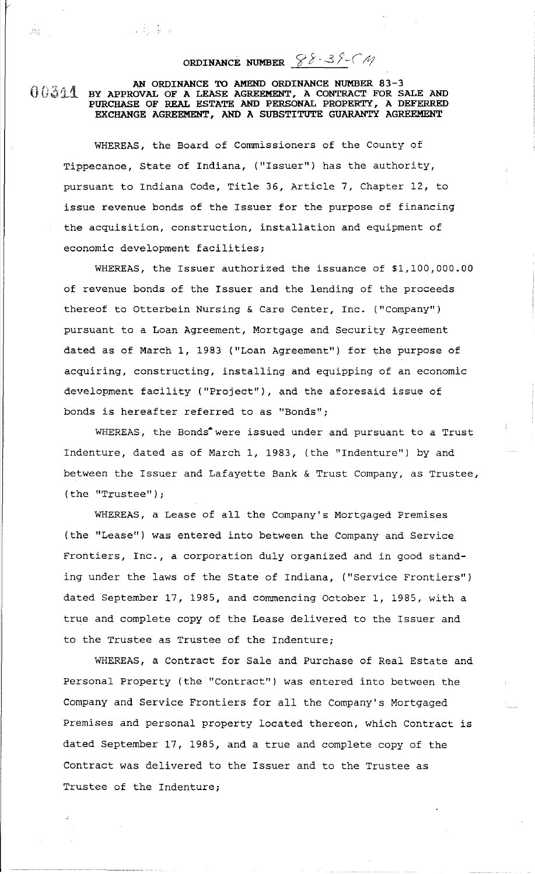**ORDINANCE NUMBER**  $\frac{88-38-64}{4}$ 

## $0.344$ **AN ORDINANCE TO AMEND ORDINANCE NUMBER 83-3 BY APPROVAL OF A LEASE AGREEMENT, A CONTRACT FOR SALE AND PURCHASE OF REAL ESTATE AND PERSONAL PROPERTY, A DEFERRED EXCHANGE AGREEMENT, AND A SUBSTITUTE GUARANTY AGREEMENT**

小海 机

 $\mathcal{B}^{\mathcal{C}}_{\alpha}$ 

WHEREAS, the Board of Commissioners of the County of Tippecanoe, State of Indiana, ("Issuer") has the authority, pursuant to Indiana Code, Title 36, Article 7, Chapter 12, to issue revenue bonds of the Issuer for the purpose of financing the acquisition, construction, installation and equipment of economic development facilities;

WHEREAS, the Issuer authorized the issuance of \$1,100,000.00 of revenue bonds of the Issuer and the lending of the proceeds thereof to Otterbein Nursing & Care Center, Inc. ("Company") pursuant to a Loan Agreement, Mortgage and Security Agreement dated as of March 1, 1983 ("Loan Agreement") for the purpose of acquiring, constructing, installing and equipping of an economic development facility ("Project"), and the aforesaid issue of bonds is hereafter referred to as "Bonds";

WHEREAS, the Bonds<sup>\*</sup> were issued under and pursuant to a Trust Indenture, dated as of March 1, 1983, (the "Indenture") by and between the Issuer and Lafayette Bank & Trust Company, as Trustee, (the "Trustee");

WHEREAS, a Lease of all the Company's Mortgaged Premises (the "Lease") was entered into between the Company and Service Frontiers, Inc., a corporation duly organized and in good standing under the laws of the State of Indiana, ("Service Frontiers") dated September 17, 1985, and commencing October 1, 1985, with a true and complete copy of the Lease delivered to the Issuer and to the Trustee as Trustee of the Indenture;

WHEREAS, a Contract for Sale and Purchase of Real Estate and Personal Property (the "Contract") was entered into between the Company and Service Frontiers for all the Company's Mortgaged Premises and personal property located thereon, which Contract is dated September 17, 1985, and a true and complete copy of the Contract was delivered to the Issuer and to the Trustee as Trustee of the Indenture;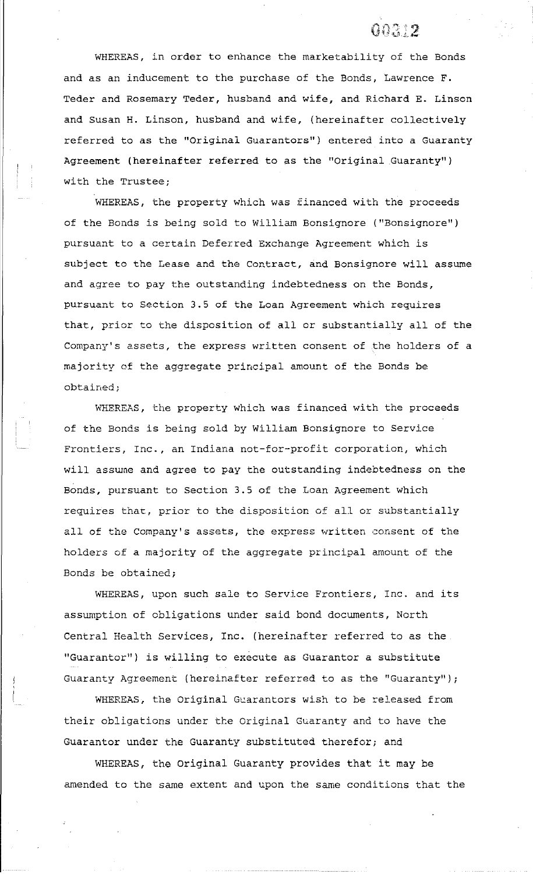## $0.1312$

WHEREAS, in order to enhance the marketability of the Bonds and as an inducement to the purchase of the Bonds, Lawrence F. Teder and Rosemary Teder, husband and wife, and Richard E. Linson and Susan H. Linson, husband and wife, (hereinafter collectively referred to as the "Original Guarantors") entered into a Guaranty Agreement (hereinafter referred to as the "Original Guaranty") with the Trustee;

WHEREAS, the property which was financed with the proceeds of the Bonds is being sold to William Bonsignore ("Bonsignore") pursuant to a certain Deferred Exchange Agreement which is subject to the Lease and the Contract, and Bonsignore will assume and agree to pay the outstanding indebtedness on the Bonds, pursuant to Section 3.5 of the Loan Agreement which requires that, prior to the disposition of all or substantially all of the Company's assets, the express written consent of the holders of a majority of the aggregate principal amount of the Bonds be obtained;

WHEREAS, the property which was financed with the proceeds of the Bonds is being sold by William Bonsignore to Service Frontiers, Inc., an Indiana not-for-profit corporation, which will assume and agree to pay the outstanding indebtedness on the Bonds, pursuant to Section 3.5 of the Loan Agreement which requires that, prior to the disposition of all or substantially all of the Company's assets, the express written consent of the holders of a majority of the aggregate principal amount of the Bonds be obtained;

WHEREAS, upon such sale to Service Frontiers, Inc. and its assumption of obligations under said bond documents, North Central Health Services, Inc. (hereinafter referred to as the "Guarantor") is willing to execute as Guarantor a substitute Guaranty Agreement (hereinafter referred to as the "Guaranty");

WHEREAS, the Original Guarantors wish to be released from their obligations under tte Original Guaranty and to have the Guarantor under the Guaranty substituted therefor; and

WHEREAS, the Original Guaranty provides that it may be amended to the same extent and upon the same conditions that the